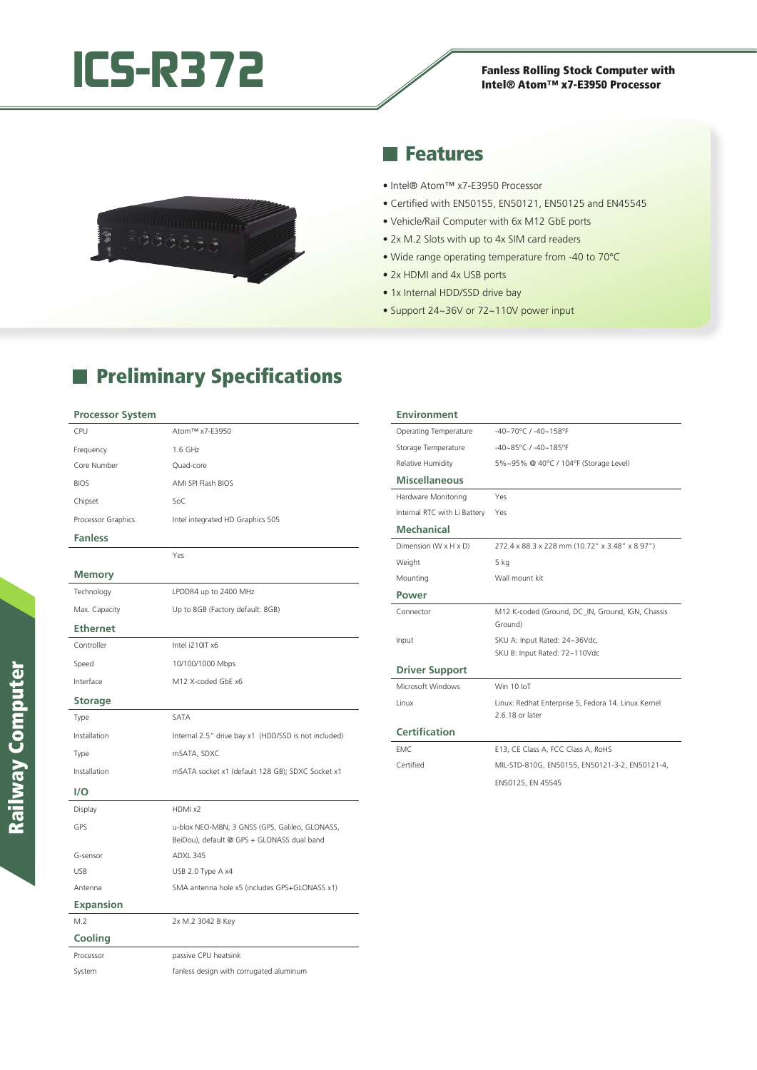

# Intel® Atom™ x7-E3950 Processor



### **Reatures**

- Intel® Atom™ x7-E3950 Processor
- Certified with EN50155, EN50121, EN50125 and EN45545
- Vehicle/Rail Computer with 6x M12 GbE ports
- 2x M.2 Slots with up to 4x SIM card readers
- Wide range operating temperature from -40 to 70°C
- 2x HDMI and 4x USB ports
- 1x Internal HDD/SSD drive bay
- Support 24~36V or 72~110V power input

## **Preliminary Specifications**

#### **Processor System**

| CPU                | Atom™ x7-E3950                                                                               |
|--------------------|----------------------------------------------------------------------------------------------|
| Frequency          | 1.6 GHz                                                                                      |
| Core Number        | Quad-core                                                                                    |
| <b>BIOS</b>        | AMI SPI Flash BIOS                                                                           |
| Chipset            | SoC                                                                                          |
| Processor Graphics | Intel integrated HD Graphics 505                                                             |
| <b>Fanless</b>     |                                                                                              |
|                    | Yes                                                                                          |
| <b>Memory</b>      |                                                                                              |
| Technology         | LPDDR4 up to 2400 MHz                                                                        |
| Max. Capacity      | Up to 8GB (Factory default: 8GB)                                                             |
| <b>Ethernet</b>    |                                                                                              |
| Controller         | Intel i210IT x6                                                                              |
| Speed              | 10/100/1000 Mbps                                                                             |
| Interface          | M12 X-coded GbE x6                                                                           |
| <b>Storage</b>     |                                                                                              |
| Type               | SATA                                                                                         |
| Installation       | Internal 2.5" drive bay x1 (HDD/SSD is not included)                                         |
| Type               | mSATA, SDXC                                                                                  |
| Installation       | mSATA socket x1 (default 128 GB); SDXC Socket x1                                             |
| 1/O                |                                                                                              |
| Display            | HDMI x2                                                                                      |
| GPS                | u-blox NEO-M8N; 3 GNSS (GPS, Galileo, GLONASS,<br>BeiDou), default @ GPS + GLONASS dual band |
| G-sensor           | ADXL 345                                                                                     |
| <b>USB</b>         | USB 2.0 Type A x4                                                                            |
| Antenna            | SMA antenna hole x5 (includes GPS+GLONASS x1)                                                |
| <b>Expansion</b>   |                                                                                              |
| M.2                | 2x M.2 3042 B Key                                                                            |
| Cooling            |                                                                                              |
| Processor          | passive CPU heatsink                                                                         |
| System             | fanless design with corrugated aluminum                                                      |

#### **Environment** Operating Temperature -40~70°C / -40~158°F Storage Temperature -40~85°C / -40~185°F Relative Humidity 5%~95% @ 40°C / 104°F (Storage Level) **Miscellaneous** Hardware Monitoring Yes Internal RTC with Li Battery Yes **Mechanical** Dimension (W x H x D) 272.4 x 88.3 x 228 mm (10.72" x 3.48" x 8.97") Weight 5 kg Mounting Wall mount kit **Power** Connector M12 K-coded (Ground, DC\_IN, Ground, IGN, Chassis Ground) Input SKU A: Input Rated: 24~36Vdc, SKU B: Input Rated: 72~110Vdc **Driver Support** Microsoft Windows Win 10 IoT Linux Linux: Redhat Enterprise 5, Fedora 14. Linux Kernel 2.6.18 or later **Certification** EMC E13, CE Class A, FCC Class A, RoHS Certified MIL-STD-810G, EN50155, EN50121-3-2, EN50121-4, EN50125, EN 45545